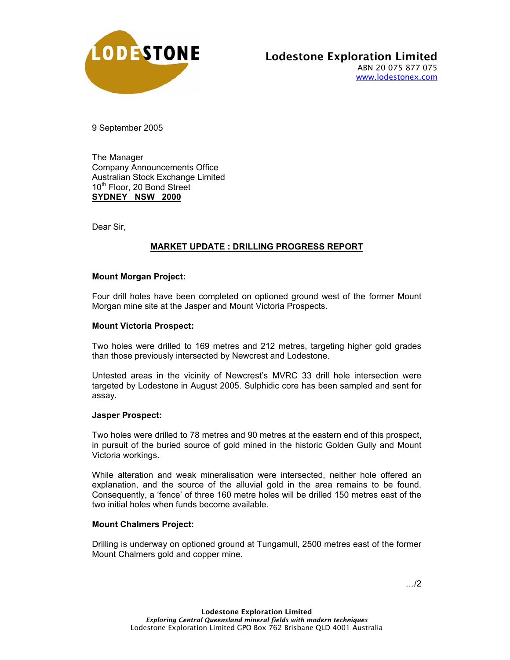

9 September 2005

The Manager Company Announcements Office Australian Stock Exchange Limited 10<sup>th</sup> Floor, 20 Bond Street **SYDNEY NSW 2000**

Dear Sir,

# **MARKET UPDATE : DRILLING PROGRESS REPORT**

### **Mount Morgan Project:**

Four drill holes have been completed on optioned ground west of the former Mount Morgan mine site at the Jasper and Mount Victoria Prospects.

### **Mount Victoria Prospect:**

Two holes were drilled to 169 metres and 212 metres, targeting higher gold grades than those previously intersected by Newcrest and Lodestone.

Untested areas in the vicinity of Newcrest's MVRC 33 drill hole intersection were targeted by Lodestone in August 2005. Sulphidic core has been sampled and sent for assay.

#### **Jasper Prospect:**

Two holes were drilled to 78 metres and 90 metres at the eastern end of this prospect, in pursuit of the buried source of gold mined in the historic Golden Gully and Mount Victoria workings.

While alteration and weak mineralisation were intersected, neither hole offered an explanation, and the source of the alluvial gold in the area remains to be found. Consequently, a 'fence' of three 160 metre holes will be drilled 150 metres east of the two initial holes when funds become available.

## **Mount Chalmers Project:**

Drilling is underway on optioned ground at Tungamull, 2500 metres east of the former Mount Chalmers gold and copper mine.

…/2